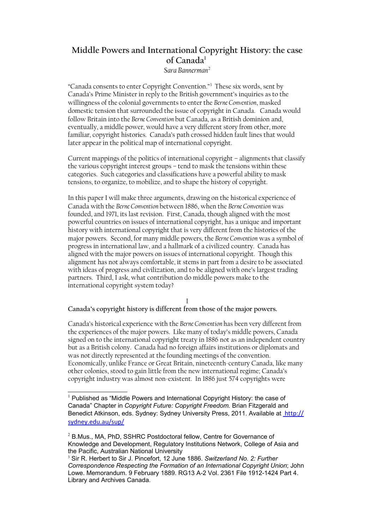## **Middle Powers and International Copyright History: the case of Canada[1](#page-0-0)**

*Sara Bannerman*[2](#page-0-1)

"Canada consents to enter Copyright Convention."[3](#page-0-2) These six words, sent by Canada's Prime Minister in reply to the British government's inquiries as to the willingness of the colonial governments to enter the *Berne Convention*, masked domestic tension that surrounded the issue of copyright in Canada. Canada would follow Britain into the *Berne Convention* but Canada, as a British dominion and, eventually, a middle power, would have a very different story from other, more familiar, copyright histories. Canada's path crossed hidden fault lines that would later appear in the political map of international copyright.

Current mappings of the politics of international copyright – alignments that classify the various copyright interest groups – tend to mask the tensions within these categories. Such categories and classifications have a powerful ability to mask tensions, to organize, to mobilize, and to shape the history of copyright.

In this paper I will make three arguments, drawing on the historical experience of Canada with the *Berne Convention* between 1886, when the *Berne Convention* was founded, and 1971, its last revision. First, Canada, though aligned with the most powerful countries on issues of international copyright, has a unique and important history with international copyright that is very different from the histories of the major powers. Second, for many middle powers, the *Berne Convention* was a symbol of progress in international law, and a hallmark of a civilized country. Canada has aligned with the major powers on issues of international copyright. Though this alignment has not always comfortable, it stems in part from a desire to be associated with ideas of progress and civilization, and to be aligned with one's largest trading partners. Third, I ask, what contribution do middle powers make to the international copyright system today?

I

**Canada's copyright history is different from those of the major powers.** 

Canada's historical experience with the *Berne Convention* has been very different from the experiences of the major powers. Like many of today's middle powers, Canada signed on to the international copyright treaty in 1886 not as an independent country but as a British colony. Canada had no foreign affairs institutions or diplomats and was not directly represented at the founding meetings of the convention. Economically, unlike France or Great Britain, nineteenth-century Canada, like many other colonies, stood to gain little from the new international regime; Canada's copyright industry was almost non-existent. In 1886 just 574 copyrights were

<span id="page-0-0"></span><sup>&</sup>lt;sup>1</sup> Published as "Middle Powers and International Copyright History: the case of Canada" Chapter in *Copyright Future: Copyright Freedom.* Brian Fitzgerald and Benedict Atkinson, eds. Sydney: Sydney University Press, 2011. Available at [http://](http://fmx01.ucc.usyd.edu.au/jspcart/cart/Product.jsp?nID=557&nCategoryID=27) [sydney.edu.au/sup/](http://fmx01.ucc.usyd.edu.au/jspcart/cart/Product.jsp?nID=557&nCategoryID=27)

<span id="page-0-1"></span><sup>&</sup>lt;sup>2</sup> B.Mus., MA, PhD, SSHRC Postdoctoral fellow, Centre for Governance of Knowledge and Development, Regulatory Institutions Network, College of Asia and the Pacific, Australian National University

<span id="page-0-2"></span><sup>3</sup> Sir R. Herbert to Sir J. Pincefort, 12 June 1886. *Switzerland No. 2: Further Correspondence Respecting the Formation of an International Copyright Union*; John Lowe. Memorandum. 9 February 1889. RG13 A-2 Vol. 2361 File 1912-1424 Part 4. Library and Archives Canada.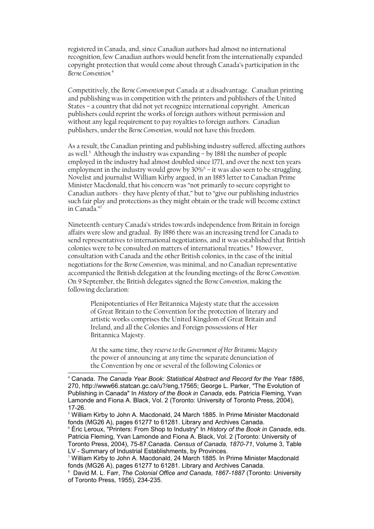registered in Canada, and, since Canadian authors had almost no international recognition, few Canadian authors would benefit from the internationally expanded copyright protection that would come about through Canada's participation in the *Berne Convention.*[4](#page-1-0)

Competitively, the *Berne Convention* put Canada at a disadvantage. Canadian printing and publishing was in competition with the printers and publishers of the United States – a country that did not yet recognize international copyright. American publishers could reprint the works of foreign authors without permission and without any legal requirement to pay royalties to foreign authors. Canadian publishers, under the *Berne Convention*, would not have this freedom.

As a result, the Canadian printing and publishing industry suffered, affecting authors as well.<sup>[5](#page-1-1)</sup> Although the industry was expanding – by 1881 the number of people employed in the industry had almost doubled since 1771, and over the next ten years employment in the industry would grow by 30%<sup>[6](#page-1-2)</sup> – it was also seen to be struggling. Novelist and journalist William Kirby argued, in an 1885 letter to Canadian Prime Minister Macdonald, that his concern was "not primarily to secure copyright to Canadian authors - they have plenty of that," but to "give our publishing industries such fair play and protections as they might obtain or the trade will become extinct in Canada."[7](#page-1-3)

Nineteenth-century Canada's strides towards independence from Britain in foreign affairs were slow and gradual. By 1886 there was an increasing trend for Canada to send representatives to international negotiations, and it was established that British colonies were to be consulted on matters of international treaties.<sup>[8](#page-1-4)</sup> However, consultation with Canada and the other British colonies, in the case of the initial negotiations for the *Berne Convention*, was minimal, and no Canadian representative accompanied the British delegation at the founding meetings of the *Berne Convention*. On 9 September, the British delegates signed the *Berne Convention*, making the following declaration:

Plenipotentiaries of Her Britannica Majesty state that the accession of Great Britain to the Convention for the protection of literary and artistic works comprises the United Kingdom of Great Britain and Ireland, and all the Colonies and Foreign possessions of Her Britannica Majesty.

At the same time, they *reserve to the Government of Her Britannic Majesty* the power of announcing at any time the separate denunciation of the Convention by one or several of the following Colonies or

<span id="page-1-0"></span><sup>4</sup> Canada. *The Canada Year Book: Statistical Abstract and Record for the Year 1886*, 270, http://www66.statcan.gc.ca/u?/eng,17565; George L. Parker, "The Evolution of Publishing in Canada" In *History of the Book in Canada*, eds. Patricia Fleming, Yvan Lamonde and Fiona A. Black, Vol. 2 (Toronto: University of Toronto Press, 2004), 17-26.

<span id="page-1-1"></span> $5$  William Kirby to John A. Macdonald, 24 March 1885. In Prime Minister Macdonald fonds (MG26 A), pages 61277 to 61281. Library and Archives Canada.

<span id="page-1-2"></span><sup>6</sup> Éric Leroux, "Printers: From Shop to Industry" In *History of the Book in Canada*, eds. Patricia Fleming, Yvan Lamonde and Fiona A. Black, Vol. 2 (Toronto: University of Toronto Press, 2004), 75-87.Canada. *Census of Canada, 1870-71*, Volume 3, Table LV - Summary of Industrial Establishments, by Provinces.

<span id="page-1-3"></span> $7$  William Kirby to John A. Macdonald, 24 March 1885. In Prime Minister Macdonald fonds (MG26 A), pages 61277 to 61281. Library and Archives Canada.

<span id="page-1-4"></span><sup>8</sup> David M. L. Farr, *The Colonial Office and Canada, 1867-1887* (Toronto: University of Toronto Press, 1955), 234-235.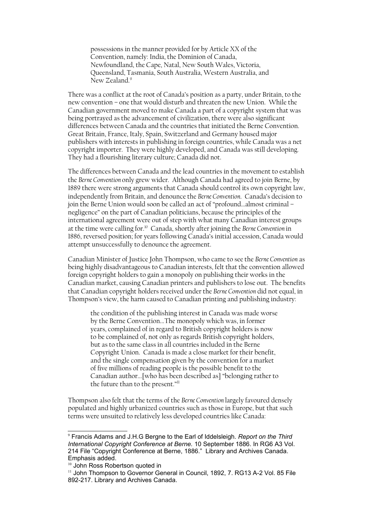possessions in the manner provided for by Article XX of the Convention, namely: India, the Dominion of Canada, Newfoundland, the Cape, Natal, New South Wales, Victoria, Queensland, Tasmania, South Australia, Western Australia, and New Zealand.<sup>[9](#page-2-0)</sup>

There was a conflict at the root of Canada's position as a party, under Britain, to the new convention – one that would disturb and threaten the new Union. While the Canadian government moved to make Canada a part of a copyright system that was being portrayed as the advancement of civilization, there were also significant differences between Canada and the countries that initiated the Berne Convention. Great Britain, France, Italy, Spain, Switzerland and Germany housed major publishers with interests in publishing in foreign countries, while Canada was a net copyright importer. They were highly developed, and Canada was still developing. They had a flourishing literary culture; Canada did not.

The differences between Canada and the lead countries in the movement to establish the *Berne Convention* only grew wider. Although Canada had agreed to join Berne, by 1889 there were strong arguments that Canada should control its own copyright law, independently from Britain, and denounce the *Berne Convention*. Canada's decision to join the Berne Union would soon be called an act of "profound…almost criminal – negligence" on the part of Canadian politicians, because the principles of the international agreement were out of step with what many Canadian interest groups at the time were calling for.[10](#page-2-1) Canada, shortly after joining the *Berne Convention* in 1886, reversed position; for years following Canada's initial accession, Canada would attempt unsuccessfully to denounce the agreement.

Canadian Minister of Justice John Thompson, who came to see the *Berne Convention* as being highly disadvantageous to Canadian interests, felt that the convention allowed foreign copyright holders to gain a monopoly on publishing their works in the Canadian market, causing Canadian printers and publishers to lose out. The benefits that Canadian copyright holders received under the *Berne Convention* did not equal, in Thompson's view, the harm caused to Canadian printing and publishing industry:

the condition of the publishing interest in Canada was made worse by the Berne Convention...The monopoly which was, in former years, complained of in regard to British copyright holders is now to be complained of, not only as regards British copyright holders, but as to the same class in all countries included in the Berne Copyright Union. Canada is made a close market for their benefit, and the single compensation given by the convention for a market of five millions of reading people is the possible benefit to the Canadian author...[who has been described as] "belonging rather to the future than to the present."<sup>[11](#page-2-2)</sup>

Thompson also felt that the terms of the *Berne Convention* largely favoured densely populated and highly urbanized countries such as those in Europe, but that such terms were unsuited to relatively less developed countries like Canada:

<span id="page-2-0"></span><sup>9</sup> Francis Adams and J.H.G Bergne to the Earl of Iddelsleigh. *Report on the Third International Copyright Conference at Berne.* 10 September 1886. In RG6 A3 Vol. 214 File "Copyright Conference at Berne, 1886." Library and Archives Canada. Emphasis added.

<span id="page-2-1"></span><sup>&</sup>lt;sup>10</sup> John Ross Robertson quoted in

<span id="page-2-2"></span><sup>&</sup>lt;sup>11</sup> John Thompson to Governor General in Council, 1892, 7. RG13 A-2 Vol. 85 File 892-217. Library and Archives Canada.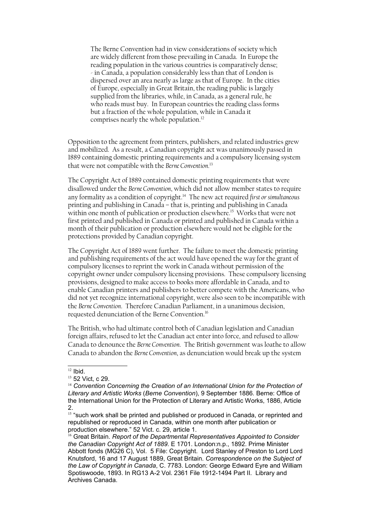The Berne Convention had in view considerations of society which are widely different from those prevailing in Canada. In Europe the reading population in the various countries is comparatively dense; - in Canada, a population considerably less than that of London is dispersed over an area nearly as large as that of Europe. In the cities of Europe, especially in Great Britain, the reading public is largely supplied from the libraries, while, in Canada, as a general rule, he who reads must buy. In European countries the reading class forms but a fraction of the whole population, while in Canada it comprises nearly the whole population.<sup>[12](#page-3-0)</sup>

Opposition to the agreement from printers, publishers, and related industries grew and mobilized. As a result, a Canadian copyright act was unanimously passed in 1889 containing domestic printing requirements and a compulsory licensing system that were not compatible with the *Berne Convention*. [13](#page-3-1)

The Copyright Act of 1889 contained domestic printing requirements that were disallowed under the *Berne Convention*, which did not allow member states to require any formality as a condition of copyright.[14](#page-3-2) The new act required *first or simultaneous* printing and publishing in Canada – that is, printing and publishing in Canada within one month of publication or production elsewhere.<sup>[15](#page-3-3)</sup> Works that were not first printed and published in Canada or printed and published in Canada within a month of their publication or production elsewhere would not be eligible for the protections provided by Canadian copyright.

The Copyright Act of 1889 went further. The failure to meet the domestic printing and publishing requirements of the act would have opened the way for the grant of compulsory licenses to reprint the work in Canada without permission of the copyright owner under compulsory licensing provisions. These compulsory licensing provisions, designed to make access to books more affordable in Canada, and to enable Canadian printers and publishers to better compete with the Americans, who did not yet recognize international copyright, were also seen to be incompatible with the *Berne Convention*. Therefore Canadian Parliament, in a unanimous decision, requested denunciation of the Berne Convention.<sup>[16](#page-3-4)</sup>

The British, who had ultimate control both of Canadian legislation and Canadian foreign affairs, refused to let the Canadian act enter into force, and refused to allow Canada to denounce the *Berne Convention*. The British government was loathe to allow Canada to abandon the *Berne Convention*, as denunciation would break up the system

<span id="page-3-0"></span> $12$  Ibid.

<span id="page-3-1"></span><sup>&</sup>lt;sup>13</sup> 52 Vict, c 29.

<span id="page-3-2"></span><sup>&</sup>lt;sup>14</sup> Convention Concerning the Creation of an International Union for the Protection of *Literary and Artistic Works* (*Berne Convention*), 9 September 1886*.* Berne: Office of the International Union for the Protection of Literary and Artistic Works, 1886, Article 2.

<span id="page-3-3"></span><sup>&</sup>lt;sup>15</sup> "such work shall be printed and published or produced in Canada, or reprinted and republished or reproduced in Canada, within one month after publication or production elsewhere." 52 Vict. c. 29, article 1.

<span id="page-3-4"></span><sup>16</sup> Great Britain. *Report of the Departmental Representatives Appointed to Consider the Canadian Copyright Act of 1889.* E 1701. London:n.p., 1892. Prime Minister Abbott fonds (MG26 C), Vol. 5 File: Copyright. Lord Stanley of Preston to Lord Lord Knutsford, 16 and 17 August 1889, Great Britain. *Correspondence on the Subject of the Law of Copyright in Canada*, C. 7783. London: George Edward Eyre and William Spotiswoode, 1893. In RG13 A-2 Vol. 2361 File 1912-1494 Part II. Library and Archives Canada.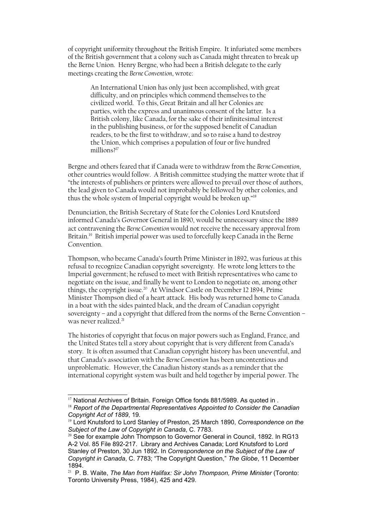of copyright uniformity throughout the British Empire. It infuriated some members of the British government that a colony such as Canada might threaten to break up the Berne Union. Henry Bergne, who had been a British delegate to the early meetings creating the *Berne Convention*, wrote:

An International Union has only just been accomplished, with great difficulty, and on principles which commend themselves to the civilized world. To this, Great Britain and all her Colonies are parties, with the express and unanimous consent of the latter. Is a British colony, like Canada, for the sake of their infinitesimal interest in the publishing business, or for the supposed benefit of Canadian readers, to be the first to withdraw, and so to raise a hand to destroy the Union, which comprises a population of four or five hundred millions?<sup>[17](#page-4-0)</sup>

Bergne and others feared that if Canada were to withdraw from the *Berne Convention*, other countries would follow. A British committee studying the matter wrote that if "the interests of publishers or printers were allowed to prevail over those of authors, the lead given to Canada would not improbably be followed by other colonies, and thus the whole system of Imperial copyright would be broken up."[18](#page-4-1)

Denunciation, the British Secretary of State for the Colonies Lord Knutsford informed Canada's Governor General in 1890, would be unnecessary since the 1889 act contravening the *Berne Convention* would not receive the necessary approval from Britain.<sup>[19](#page-4-2)</sup> British imperial power was used to forcefully keep Canada in the Berne Convention.

Thompson, who became Canada's fourth Prime Minister in 1892, was furious at this refusal to recognize Canadian copyright sovereignty. He wrote long letters to the Imperial government; he refused to meet with British representatives who came to negotiate on the issue, and finally he went to London to negotiate on, among other things, the copyright issue.<sup>[20](#page-4-3)</sup> At Windsor Castle on December 12 1894, Prime Minister Thompson died of a heart attack. His body was returned home to Canada in a boat with the sides painted black, and the dream of Canadian copyright sovereignty – and a copyright that differed from the norms of the Berne Convention – was never realized.<sup>[21](#page-4-4)</sup>

The histories of copyright that focus on major powers such as England, France, and the United States tell a story about copyright that is very different from Canada's story. It is often assumed that Canadian copyright history has been uneventful, and that Canada's association with the *Berne Convention* has been uncontentious and unproblematic. However, the Canadian history stands as a reminder that the international copyright system was built and held together by imperial power. The

<span id="page-4-0"></span><sup>&</sup>lt;sup>17</sup> National Archives of Britain. Foreign Office fonds 881/5989. As quoted in .

<span id="page-4-1"></span><sup>18</sup> *Report of the Departmental Representatives Appointed to Consider the Canadian Copyright Act of 1889*, 19*.*

<span id="page-4-2"></span><sup>19</sup> Lord Knutsford to Lord Stanley of Preston, 25 March 1890, *Correspondence on the Subject of the Law of Copyright in Canada*, C. 7783.

<span id="page-4-3"></span><sup>&</sup>lt;sup>20</sup> See for example John Thompson to Governor General in Council, 1892. In RG13 A-2 Vol. 85 File 892-217. Library and Archives Canada; Lord Knutsford to Lord Stanley of Preston, 30 Jun 1892. In *Correspondence on the Subject of the Law of Copyright in Canada*, C. 7783; "The Copyright Question," *The Globe*, 11 December 1894.

<span id="page-4-4"></span><sup>21</sup> P. B. Waite, *The Man from Halifax: Sir John Thompson, Prime Minister* (Toronto: Toronto University Press, 1984), 425 and 429.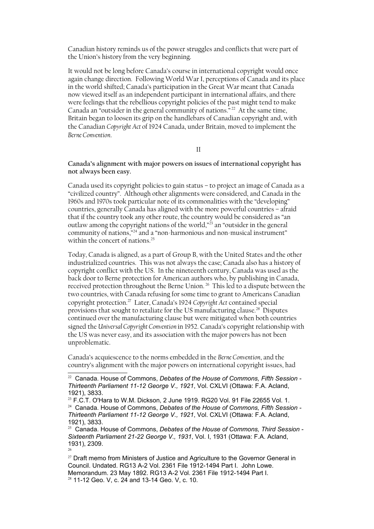Canadian history reminds us of the power struggles and conflicts that were part of the Union's history from the very beginning.

It would not be long before Canada's course in international copyright would once again change direction. Following World War I, perceptions of Canada and its place in the world shifted; Canada's participation in the Great War meant that Canada now viewed itself as an independent participant in international affairs, and there were feelings that the rebellious copyright policies of the past might tend to make Canada an "outsider in the general community of nations."<sup>[22](#page-5-0)</sup> At the same time, Britain began to loosen its grip on the handlebars of Canadian copyright and, with the Canadian *Copyright Act* of 1924 Canada, under Britain, moved to implement the *Berne Convention*.

II

**Canada's alignment with major powers on issues of international copyright has not always been easy.** 

Canada used its copyright policies to gain status – to project an image of Canada as a "civilized country". Although other alignments were considered, and Canada in the 1960s and 1970s took particular note of its commonalities with the "developing" countries, generally Canada has aligned with the more powerful countries – afraid that if the country took any other route, the country would be considered as "an outlaw among the copyright nations of the world, $\dot{r}^2$  an "outsider in the general community of nations,"[24](#page-5-2) and a "non-harmonious and non-musical instrument" within the concert of nations.<sup>[25](#page-5-3)</sup>

Today, Canada is aligned, as a part of Group B, with the United States and the other industrialized countries. This was not always the case; Canada also has a history of copyright conflict with the US. In the nineteenth century, Canada was used as the back door to Berne protection for American authors who, by publishing in Canada, received protection throughout the Berne Union. [26](#page-5-4) This led to a dispute between the two countries, with Canada refusing for some time to grant to Americans Canadian copyright protection.[27](#page-5-5) Later, Canada's 1924 *Copyright Act* contained special provisions that sought to retaliate for the US manufacturing clause.[28](#page-5-6) Disputes continued over the manufacturing clause but were mitigated when both countries signed the *Universal Copyright Convention* in 1952. Canada's copyright relationship with the US was never easy, and its association with the major powers has not been unproblematic.

Canada's acquiescence to the norms embedded in the *Berne Convention*, and the country's alignment with the major powers on international copyright issues, had

<span id="page-5-0"></span><sup>22</sup> Canada. House of Commons, *Debates of the House of Commons, Fifth Session - Thirteenth Parliament 11-12 George V., 1921*, Vol. CXLVI (Ottawa: F.A. Acland, 1921), 3833.

<span id="page-5-2"></span><span id="page-5-1"></span><sup>&</sup>lt;sup>23</sup> F.C.T. O'Hara to W.M. Dickson, 2 June 1919. RG20 Vol. 91 File 22655 Vol. 1. <sup>24</sup> Canada. House of Commons, *Debates of the House of Commons, Fifth Session - Thirteenth Parliament 11-12 George V., 1921*, Vol. CXLVI (Ottawa: F.A. Acland, 1921), 3833.

<span id="page-5-3"></span><sup>25</sup> Canada. House of Commons, *Debates of the House of Commons, Third Session - Sixteenth Parliament 21-22 George V., 1931*, Vol. I, 1931 (Ottawa: F.A. Acland, 1931), 2309. 26

<span id="page-5-6"></span><span id="page-5-5"></span><span id="page-5-4"></span> $27$  Draft memo from Ministers of Justice and Agriculture to the Governor General in Council. Undated. RG13 A-2 Vol. 2361 File 1912-1494 Part I. John Lowe. Memorandum. 23 May 1892. RG13 A-2 Vol. 2361 File 1912-1494 Part I. 28 11-12 Geo. V, c. 24 and 13-14 Geo. V, c. 10.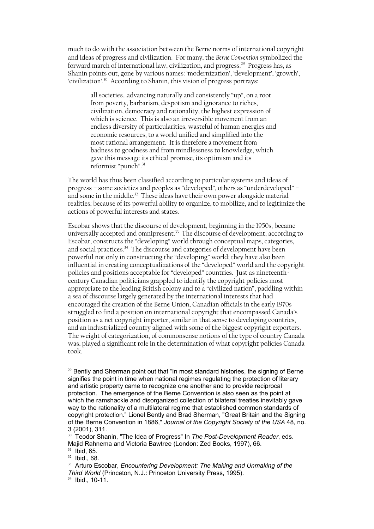much to do with the association between the Berne norms of international copyright and ideas of progress and civilization. For many, the *Berne Convention* symbolized the forward march of international law, civilization, and progress.[29](#page-6-0) Progress has, as Shanin points out, gone by various names: 'modernization', 'development', 'growth', 'civilization'.[30](#page-6-1) According to Shanin, this vision of progress portrays:

all societies…advancing naturally and consistently "up", on a root from poverty, barbarism, despotism and ignorance to riches, civilization, democracy and rationality, the highest expression of which is science. This is also an irreversible movement from an endless diversity of particularities, wasteful of human energies and economic resources, to a world unified and simplified into the most rational arrangement. It is therefore a movement from badness to goodness and from mindlessness to knowledge, which gave this message its ethical promise, its optimism and its reformist "punch".<sup>[31](#page-6-2)</sup>

The world has thus been classified according to particular systems and ideas of progress – some societies and peoples as "developed", others as "underdeveloped" – and some in the middle.<sup>[32](#page-6-3)</sup> These ideas have their own power alongside material realities; because of its powerful ability to organize, to mobilize, and to legitimize the actions of powerful interests and states.

Escobar shows that the discourse of development, beginning in the 1950s, became universally accepted and omnipresent.<sup>[33](#page-6-4)</sup> The discourse of development, according to Escobar, constructs the "developing" world through conceptual maps, categories, and social practices.<sup>[34](#page-6-5)</sup> The discourse and categories of development have been powerful not only in constructing the "developing" world; they have also been influential in creating conceptualizations of the "developed" world and the copyright policies and positions acceptable for "developed" countries. Just as nineteenthcentury Canadian politicians grappled to identify the copyright policies most appropriate to the leading British colony and to a "civilized nation", paddling within a sea of discourse largely generated by the international interests that had encouraged the creation of the Berne Union, Canadian officials in the early 1970s struggled to find a position on international copyright that encompassed Canada's position as a net copyright importer, similar in that sense to developing countries, and an industrialized country aligned with some of the biggest copyright exporters. The weight of categorization, of commonsense notions of the type of country Canada was, played a significant role in the determination of what copyright policies Canada took.

<span id="page-6-0"></span> $29$  Bently and Sherman point out that "In most standard histories, the signing of Berne signifies the point in time when national regimes regulating the protection of literary and artistic property came to recognize one another and to provide reciprocal protection. The emergence of the Berne Convention is also seen as the point at which the ramshackle and disorganized collection of bilateral treaties inevitably gave way to the rationality of a multilateral regime that established common standards of copyright protection." Lionel Bently and Brad Sherman, "Great Britain and the Signing of the Berne Convention in 1886," *Journal of the Copyright Society of the USA* 48, no. 3 (2001), 311.

<span id="page-6-1"></span><sup>&</sup>lt;sup>30</sup> Teodor Shanin, "The Idea of Progress" In *The Post-Development Reader*, eds. Majid Rahnema and Victoria Bawtree (London: Zed Books, 1997), 66.

<span id="page-6-2"></span><sup>31</sup> Ibid, 65.

<span id="page-6-3"></span> $32$  Ibid., 68.

<span id="page-6-4"></span><sup>&</sup>lt;sup>33</sup> Arturo Escobar, *Encountering Development: The Making and Unmaking of the Third World* (Princeton, N.J.: Princeton University Press, 1995).

<span id="page-6-5"></span> $34$  Ibid., 10-11.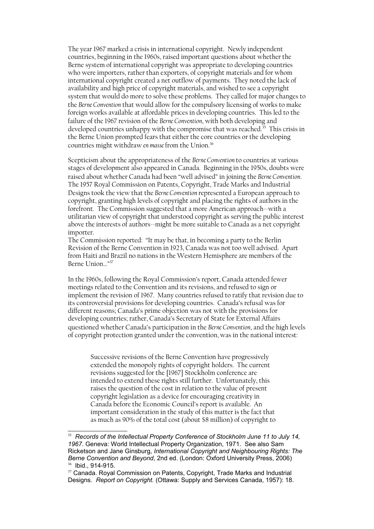The year 1967 marked a crisis in international copyright. Newly independent countries, beginning in the 1960s, raised important questions about whether the Berne system of international copyright was appropriate to developing countries who were importers, rather than exporters, of copyright materials and for whom international copyright created a net outflow of payments. They noted the lack of availability and high price of copyright materials, and wished to see a copyright system that would do more to solve these problems. They called for major changes to the *Berne Convention* that would allow for the compulsory licensing of works to make foreign works available at affordable prices in developing countries. This led to the failure of the 1967 revision of the *Berne Convention*, with both developing and developed countries unhappy with the compromise that was reached. [35](#page-7-0) This crisis in the Berne Union prompted fears that either the core countries or the developing countries might withdraw *en masse* from the Union.[36](#page-7-1)

Scepticism about the appropriateness of the *Berne Convention* to countries at various stages of development also appeared in Canada. Beginning in the 1950s, doubts were raised about whether Canada had been "well advised" in joining the *Berne Convention*. The 1957 Royal Commission on Patents, Copyright, Trade Marks and Industrial Designs took the view that the *Berne Convention* represented a European approach to copyright, granting high levels of copyright and placing the rights of authors in the forefront. The Commission suggested that a more American approach--with a utilitarian view of copyright that understood copyright as serving the public interest above the interests of authors--might be more suitable to Canada as a net copyright importer.

The Commission reported: "It may be that, in becoming a party to the Berlin Revision of the Berne Convention in 1923, Canada was not too well advised. Apart from Haiti and Brazil no nations in the Western Hemisphere are members of the Berne Union…"[37](#page-7-2)

In the 1960s, following the Royal Commission's report, Canada attended fewer meetings related to the Convention and its revisions, and refused to sign or implement the revision of 1967. Many countries refused to ratify that revision due to its controversial provisions for developing countries. Canada's refusal was for different reasons; Canada's prime objection was not with the provisions for developing countries; rather, Canada's Secretary of State for External Affairs questioned whether Canada's participation in the *Berne Convention*, and the high levels of copyright protection granted under the convention, was in the national interest:

Successive revisions of the Berne Convention have progressively extended the monopoly rights of copyright holders. The current revisions suggested for the [1967] Stockholm conference are intended to extend these rights still further. Unfortunately, this raises the question of the cost in relation to the value of present copyright legislation as a device for encouraging creativity in Canada before the Economic Council's report is available. An important consideration in the study of this matter is the fact that as much as 90% of the total cost (about \$8 million) of copyright to

<span id="page-7-0"></span><sup>35</sup> *Records of the Intellectual Property Conference of Stockholm June 11 to July 14, 1967*. Geneva: World Intellectual Property Organization, 1971. See also Sam Ricketson and Jane Ginsburg, *International Copyright and Neighbouring Rights: The Berne Convention and Beyond*, 2nd ed. (London: Oxford University Press, 2006) <sup>36</sup> Ibid., 914-915.

<span id="page-7-2"></span><span id="page-7-1"></span><sup>&</sup>lt;sup>37</sup> Canada. Royal Commission on Patents, Copyright, Trade Marks and Industrial Designs. *Report on Copyright.* (Ottawa: Supply and Services Canada, 1957): 18.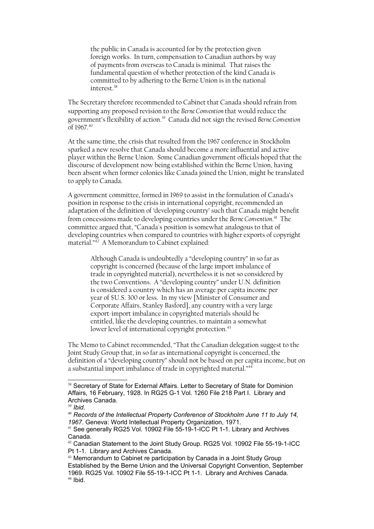the public in Canada is accounted for by the protection given foreign works. In turn, compensation to Canadian authors by way of payments from overseas to Canada is minimal. That raises the fundamental question of whether protection of the kind Canada is committed to by adhering to the Berne Union is in the national interest<sup>[38](#page-8-0)</sup>

The Secretary therefore recommended to Cabinet that Canada should refrain from supporting any proposed revision to the *Berne Convention* that would reduce the government's flexibility of action.[39](#page-8-1) Canada did not sign the revised *Berne Convention* of 1967.[40](#page-8-2)

At the same time, the crisis that resulted from the 1967 conference in Stockholm sparked a new resolve that Canada should become a more influential and active player within the Berne Union. Some Canadian government officials hoped that the discourse of development now being established within the Berne Union, having been absent when former colonies like Canada joined the Union, might be translated to apply to Canada.

A government committee, formed in 1969 to assist in the formulation of Canada's position in response to the crisis in international copyright, recommended an adaptation of the definition of 'developing country' such that Canada might benefit from concessions made to developing countries under the *Berne Convention*. [41](#page-8-3) The committee argued that, "Canada's position is somewhat analogous to that of developing countries when compared to countries with higher exports of copyright material."<sup>[42](#page-8-4)</sup> A Memorandum to Cabinet explained:

Although Canada is undoubtedly a "developing country" in so far as copyright is concerned (because of the large import imbalance of trade in copyrighted material), nevertheless it is not so considered by the two Conventions. A "developing country" under U.N. definition is considered a country which has an average per capita income per year of \$U.S. 300 or less. In my view [Minister of Consumer and Corporate Affairs, Stanley Basford], any country with a very large export-import imbalance in copyrighted materials should be entitled, like the developing countries, to maintain a somewhat lower level of international copyright protection.<sup>[43](#page-8-5)</sup>

The Memo to Cabinet recommended, "That the Canadian delegation suggest to the Joint Study Group that, in so far as international copyright is concerned, the definition of a "developing country" should not be based on per capita income, but on a substantial import imbalance of trade in copyrighted material."<sup>[44](#page-8-6)</sup>

<span id="page-8-0"></span><sup>&</sup>lt;sup>38</sup> Secretary of State for External Affairs. Letter to Secretary of State for Dominion Affairs, 16 February, 1928. In RG25 G-1 Vol. 1260 File 218 Part I. Library and Archives Canada.

<span id="page-8-1"></span><sup>39</sup> *Ibid*.

<span id="page-8-2"></span><sup>40</sup> *Records of the Intellectual Property Conference of Stockholm June 11 to July 14, 1967*. Geneva: World Intellectual Property Organization, 1971.

<span id="page-8-3"></span><sup>41</sup> See generally RG25 Vol. 10902 File 55-19-1-ICC Pt 1-1. Library and Archives Canada.

<span id="page-8-4"></span><sup>42</sup> Canadian Statement to the Joint Study Group. RG25 Vol. 10902 File 55-19-1-ICC Pt 1-1. Library and Archives Canada.

<span id="page-8-6"></span><span id="page-8-5"></span><sup>&</sup>lt;sup>43</sup> Memorandum to Cabinet re participation by Canada in a Joint Study Group Established by the Berne Union and the Universal Copyright Convention, September 1969. RG25 Vol. 10902 File 55-19-1-ICC Pt 1-1. Library and Archives Canada.  $44$  Ibid.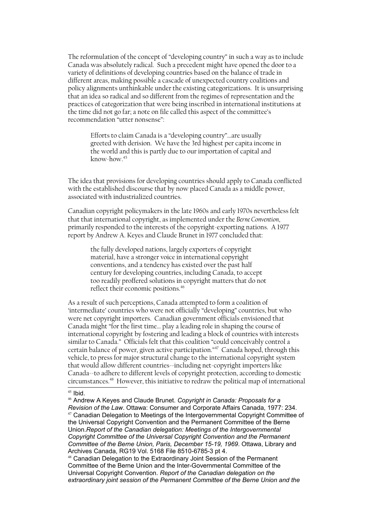The reformulation of the concept of "developing country" in such a way as to include Canada was absolutely radical. Such a precedent might have opened the door to a variety of definitions of developing countries based on the balance of trade in different areas, making possible a cascade of unexpected country coalitions and policy alignments unthinkable under the existing categorizations. It is unsurprising that an idea so radical and so different from the regimes of representation and the practices of categorization that were being inscribed in international institutions at the time did not go far; a note on file called this aspect of the committee's recommendation "utter nonsense":

Efforts to claim Canada is a "developing country"…are usually greeted with derision. We have the 3rd highest per capita income in the world and this is partly due to our importation of capital and know-how.[45](#page-9-0)

The idea that provisions for developing countries should apply to Canada conflicted with the established discourse that by now placed Canada as a middle power, associated with industrialized countries.

Canadian copyright policymakers in the late 1960s and early 1970s nevertheless felt that that international copyright, as implemented under the *Berne Convention*, primarily responded to the interests of the copyright-exporting nations. A 1977 report by Andrew A. Keyes and Claude Brunet in 1977 concluded that:

the fully developed nations, largely exporters of copyright material, have a stronger voice in international copyright conventions, and a tendency has existed over the past half century for developing countries, including Canada, to accept too readily proffered solutions in copyright matters that do not reflect their economic positions.<sup>[46](#page-9-1)</sup>

As a result of such perceptions, Canada attempted to form a coalition of 'intermediate' countries who were not officially "developing" countries, but who were net copyright importers. Canadian government officials envisioned that Canada might "for the first time… play a leading role in shaping the course of international copyright by fostering and leading a block of countries with interests similar to Canada." Officials felt that this coalition "could conceivably control a certain balance of power, given active participation."[47](#page-9-2) Canada hoped, through this vehicle, to press for major structural change to the international copyright system that would allow different countries--including net-copyright importers like Canada--to adhere to different levels of copyright protection, according to domestic circumstances.[48](#page-9-3) However, this initiative to redraw the political map of international

<span id="page-9-2"></span><span id="page-9-1"></span><sup>46</sup> Andrew A Keyes and Claude Brunet. *Copyright in Canada: Proposals for a Revision of the Law*. Ottawa: Consumer and Corporate Affairs Canada, 1977: 234. <sup>47</sup> Canadian Delegation to Meetings of the Intergovernmental Copyright Committee of the Universal Copyright Convention and the Permanent Committee of the Berne Union.*Report of the Canadian delegation: Meetings of the Intergovernmental Copyright Committee of the Universal Copyright Convention and the Permanent Committee of the Berne Union, Paris, December 15-19, 1969*. Ottawa, Library and Archives Canada, RG19 Vol. 5168 File 8510-6785-3 pt 4.

<span id="page-9-3"></span><sup>48</sup> Canadian Delegation to the Extraordinary Joint Session of the Permanent Committee of the Berne Union and the Inter-Governmental Committee of the Universal Copyright Convention. *Report of the Canadian delegation on the extraordinary joint session of the Permanent Committee of the Berne Union and the*

<span id="page-9-0"></span> $45$  Ibid.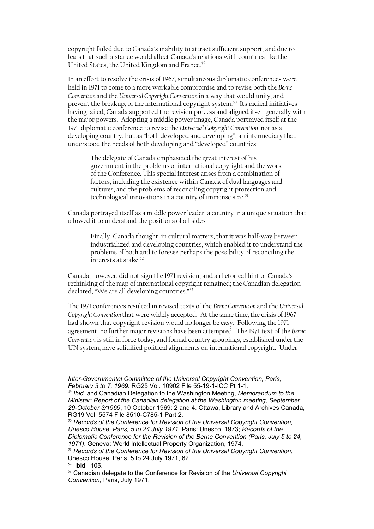copyright failed due to Canada's inability to attract sufficient support, and due to fears that such a stance would affect Canada's relations with countries like the United States, the United Kingdom and France.<sup>[49](#page-10-0)</sup>

In an effort to resolve the crisis of 1967, simultaneous diplomatic conferences were held in 1971 to come to a more workable compromise and to revise both the *Berne Convention* and the *Universal Copyright Convention* in a way that would unify, and prevent the breakup, of the international copyright system. [50](#page-10-1) Its radical initiatives having failed, Canada supported the revision process and aligned itself generally with the major powers. Adopting a middle power image, Canada portrayed itself at the 1971 diplomatic conference to revise the *Universal Copyright Convention* not as a developing country, but as "both developed and developing", an intermediary that understood the needs of both developing and "developed" countries:

The delegate of Canada emphasized the great interest of his government in the problems of international copyright and the work of the Conference. This special interest arises from a combination of factors, including the existence within Canada of dual languages and cultures, and the problems of reconciling copyright protection and technological innovations in a country of immense size.<sup>[51](#page-10-2)</sup>

Canada portrayed itself as a middle power leader: a country in a unique situation that allowed it to understand the positions of all sides:

Finally, Canada thought, in cultural matters, that it was half-way between industrialized and developing countries, which enabled it to understand the problems of both and to foresee perhaps the possibility of reconciling the interests at stake  $52$ 

Canada, however, did not sign the 1971 revision, and a rhetorical hint of Canada's rethinking of the map of international copyright remained; the Canadian delegation declared, "We are all developing countries."<sup>[53](#page-10-4)</sup>

The 1971 conferences resulted in revised texts of the *Berne Convention* and the *Universal Copyright Convention* that were widely accepted. At the same time, the crisis of 1967 had shown that copyright revision would no longer be easy. Following the 1971 agreement, no further major revisions have been attempted. The 1971 text of the *Berne Convention* is still in force today, and formal country groupings, established under the UN system, have solidified political alignments on international copyright. Under

*Inter-Governmental Committee of the Universal Copyright Convention, Paris, February 3 to 7, 1969.* RG25 Vol. 10902 File 55-19-1-ICC Pt 1-1.

<span id="page-10-0"></span><sup>49</sup> *Ibid*. and Canadian Delegation to the Washington Meeting, *Memorandum to the Minister: Report of the Canadian delegation at the Washington meeting, September 29-October 3/1969*, 10 October 1969: 2 and 4. Ottawa, Library and Archives Canada, RG19 Vol. 5574 File 8510-C785-1 Part 2.

<span id="page-10-1"></span><sup>50</sup> *Records of the Conference for Revision of the Universal Copyright Convention, Unesco House, Paris, 5 to 24 July 1971*. Paris: Unesco, 1973; *Records of the Diplomatic Conference for the Revision of the Berne Convention (Paris, July 5 to 24, 1971)*. Geneva: World Intellectual Property Organization, 1974.

<span id="page-10-2"></span><sup>51</sup> *Records of the Conference for Revision of the Universal Copyright Convention*, Unesco House, Paris, 5 to 24 July 1971, 62.

<span id="page-10-3"></span> $52$  Ibid., 105.

<span id="page-10-4"></span><sup>53</sup> Canadian delegate to the Conference for Revision of the *Universal Copyright Convention,* Paris, July 1971.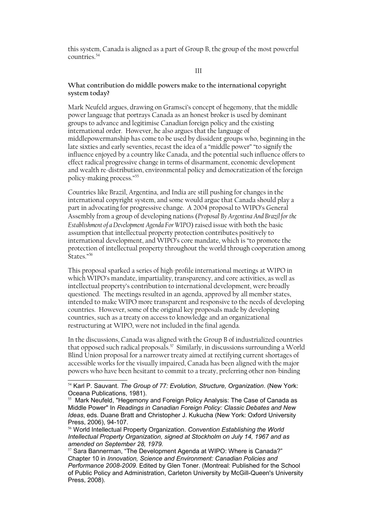this system, Canada is aligned as a part of Group B, the group of the most powerful countries.[54](#page-11-0)

## III

## **What contribution do middle powers make to the international copyright system today?**

Mark Neufeld argues, drawing on Gramsci's concept of hegemony, that the middle power language that portrays Canada as an honest broker is used by dominant groups to advance and legitimise Canadian foreign policy and the existing international order. However, he also argues that the language of middlepowermanship has come to be used by dissident groups who, beginning in the late sixties and early seventies, recast the idea of a "middle power" "to signify the influence enjoyed by a country like Canada, and the potential such influence offers to effect radical progressive change in terms of disarmament, economic development and wealth re-distribution, environmental policy and democratization of the foreign policy-making process."[55](#page-11-1)

Countries like Brazil, Argentina, and India are still pushing for changes in the international copyright system, and some would argue that Canada should play a part in advocating for progressive change. A 2004 proposal to WIPO's General Assembly from a group of developing nations (*Proposal By Argentina And Brazil for the Establishment of a Development Agenda For WIPO*) raised issue with both the basic assumption that intellectual property protection contributes positively to international development, and WIPO's core mandate, which is "to promote the protection of intellectual property throughout the world through cooperation among States<sup>"[56](#page-11-2)</sup>

This proposal sparked a series of high-profile international meetings at WIPO in which WIPO's mandate, impartiality, transparency, and core activities, as well as intellectual property's contribution to international development, were broadly questioned. The meetings resulted in an agenda, approved by all member states, intended to make WIPO more transparent and responsive to the needs of developing countries. However, some of the original key proposals made by developing countries, such as a treaty on access to knowledge and an organizational restructuring at WIPO, were not included in the final agenda.

In the discussions, Canada was aligned with the Group B of industrialized countries that opposed such radical proposals. $57$  Similarly, in discussions surrounding a World Blind Union proposal for a narrower treaty aimed at rectifying current shortages of accessible works for the visually impaired, Canada has been aligned with the major powers who have been hesitant to commit to a treaty, preferring other non-binding

<span id="page-11-0"></span><sup>54</sup> Karl P. Sauvant. *The Group of 77: Evolution, Structure, Organization*. (New York: Oceana Publications, 1981).

<span id="page-11-1"></span><sup>&</sup>lt;sup>55</sup> Mark Neufeld, "Hegemony and Foreign Policy Analysis: The Case of Canada as Middle Power" In *Readings in Canadian Foreign Policy: Classic Debates and New Ideas*, eds. Duane Bratt and Christopher J. Kukucha (New York: Oxford University Press, 2006), 94-107.

<span id="page-11-2"></span><sup>56</sup> World Intellectual Property Organization. *Convention Establishing the World Intellectual Property Organization, signed at Stockholm on July 14, 1967 and as amended on September 28, 1979.*

<span id="page-11-3"></span><sup>57</sup> Sara Bannerman, "The Development Agenda at WIPO: Where is Canada?" Chapter 10 in *Innovation, Science and Environment: Canadian Policies and Performance 2008-2009*. Edited by Glen Toner. (Montreal: Published for the School of Public Policy and Administration, Carleton University by McGill-Queen's University Press, 2008).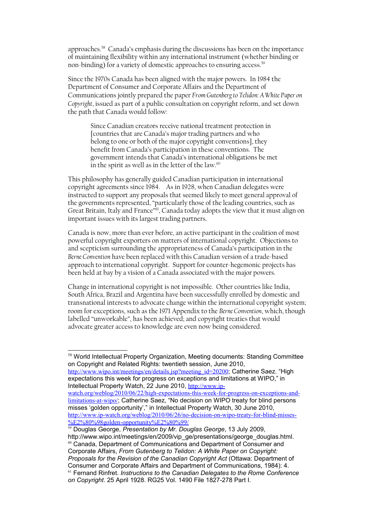approaches.[58](#page-12-0) Canada's emphasis during the discussions has been on the importance of maintaining flexibility within any international instrument (whether binding or non-binding) for a variety of domestic approaches to ensuring access.<sup>[59](#page-12-1)</sup>

Since the 1970s Canada has been aligned with the major powers. In 1984 the Department of Consumer and Corporate Affairs and the Department of Communications jointly prepared the paper *From Gutenberg to Telidon: A White Paper on Copyright*, issued as part of a public consultation on copyright reform, and set down the path that Canada would follow:

Since Canadian creators receive national treatment protection in [countries that are Canada's major trading partners and who belong to one or both of the major copyright conventions], they benefit from Canada's participation in these conventions. The government intends that Canada's international obligations be met in the spirit as well as in the letter of the law.<sup>[60](#page-12-2)</sup>

This philosophy has generally guided Canadian participation in international copyright agreements since 1984. As in 1928, when Canadian delegates were instructed to support any proposals that seemed likely to meet general approval of the governments represented, "particularly those of the leading countries, such as Great Britain, Italy and France<sup>"[61](#page-12-3)</sup>, Canada today adopts the view that it must align on important issues with its largest trading partners.

Canada is now, more than ever before, an active participant in the coalition of most powerful copyright exporters on matters of international copyright. Objections to and scepticism surrounding the appropriateness of Canada's participation in the *Berne Convention* have been replaced with this Canadian version of a trade-based approach to international copyright. Support for counter-hegemonic projects has been held at bay by a vision of a Canada associated with the major powers.

Change in international copyright is not impossible. Other countries like India, South Africa, Brazil and Argentina have been successfully enrolled by domestic and transnational interests to advocate change within the international copyright system; room for exceptions, such as the 1971 Appendix to the *Berne Convention*, which, though labelled "unworkable", has been achieved; and copyright treaties that would advocate greater access to knowledge are even now being considered.

[http://www.wipo.int/meetings/en/details.jsp?meeting\\_id=20200](http://www.wipo.int/meetings/en/details.jsp?meeting_id=20200); Catherine Saez. "High expectations this week for progress on exceptions and limitations at WIPO," in Intellectual Property Watch, 22 June 2010, [http://www.ip-](http://www.ip-watch.org/weblog/2010/06/22/high-expectations-this-week-for-progress-on-exceptions-and-limitations-at-wipo/)

<span id="page-12-3"></span><span id="page-12-2"></span><span id="page-12-1"></span><sup>59</sup> Douglas George, *Presentation by Mr. Douglas George*, 13 July 2009, [http://www.wipo.int/meetings/en/2009/vip\\_ge/presentations/george\\_douglas.html.](http://www.wipo.int/meetings/en/2009/vip_ge/presentations/george_douglas.html) <sup>60</sup> Canada, Department of Communications and Department of Consumer and Corporate Affairs, *From Gutenberg to Telidon: A White Paper on Copyright: Proposals for the Revision of the Canadian Copyright Act* (Ottawa: Department of Consumer and Corporate Affairs and Department of Communications, 1984): 4. <sup>61</sup> Fernand Rinfret. *Instructions to the Canadian Delegates to the Rome Conference on Copyright*. 25 April 1928. RG25 Vol. 1490 File 1827-278 Part I.

<span id="page-12-0"></span><sup>58</sup> World Intellectual Property Organization, Meeting documents: Standing Committee on Copyright and Related Rights: twentieth session, June 2010,

[watch.org/weblog/2010/06/22/high-expectations-this-week-for-progress-on-exceptions-and](http://www.ip-watch.org/weblog/2010/06/22/high-expectations-this-week-for-progress-on-exceptions-and-limitations-at-wipo/)[limitations-at-wipo/](http://www.ip-watch.org/weblog/2010/06/22/high-expectations-this-week-for-progress-on-exceptions-and-limitations-at-wipo/); Catherine Saez, "No decision on WIPO treaty for blind persons misses 'golden opportunity'," in Intellectual Property Watch, 30 June 2010, [http://www.ip-watch.org/weblog/2010/06/26/no-decision-on-wipo-treaty-for-blind-misses-](http://www.ip-watch.org/weblog/2010/06/26/no-decision-on-wipo-treaty-for-blind-misses-%E2%80%98golden-opportunity%E2%80%99/) [%E2%80%98golden-opportunity%E2%80%99/](http://www.ip-watch.org/weblog/2010/06/26/no-decision-on-wipo-treaty-for-blind-misses-%E2%80%98golden-opportunity%E2%80%99/)